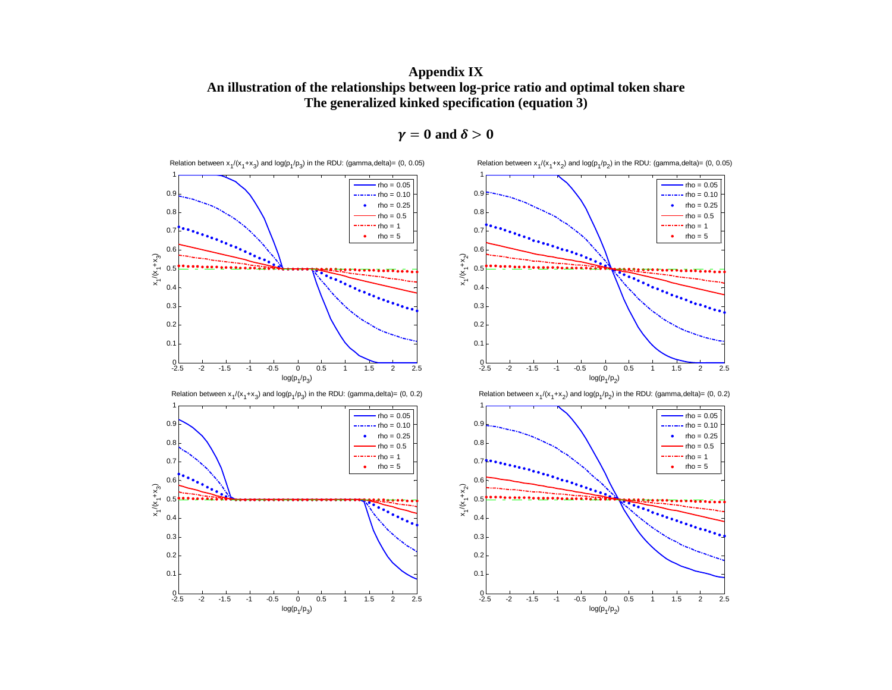**Appendix IX An illustration of the relationships between log-price ratio and optimal token share The generalized kinked specification (equation 3)** 



 $\gamma = 0$  and  $\delta > 0$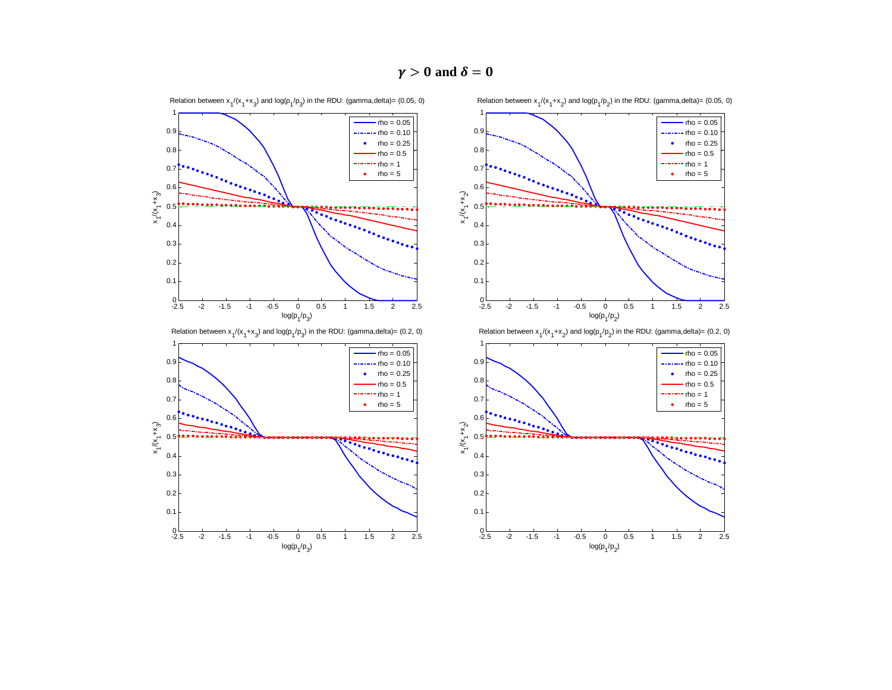$\gamma > 0$  and  $\delta = 0$ 



Relation between  $x_1/(x_1+x_2)$  and  $log(p_1/p_2)$  in the RDU: (gamma, delta)= (0.05, 0)

Relation between  $x_1/(x_1+x_3)$  and  $log(p_1/p_3)$  in the RDU: (gamma,delta)= (0.05, 0)

 $_{-2.5}^{0}$ 

 $^{0}_{-2.5}$ 

0.1 0.20.30.4 $0.5$ 0.6 0.70.80.9 1

 $x^{1}(x^{1}+x^{3})$ 

0.1 0.20.30.40.50.6 $0.7$ 0.80.91

 $x^{1}(x^{1}+x^{3})$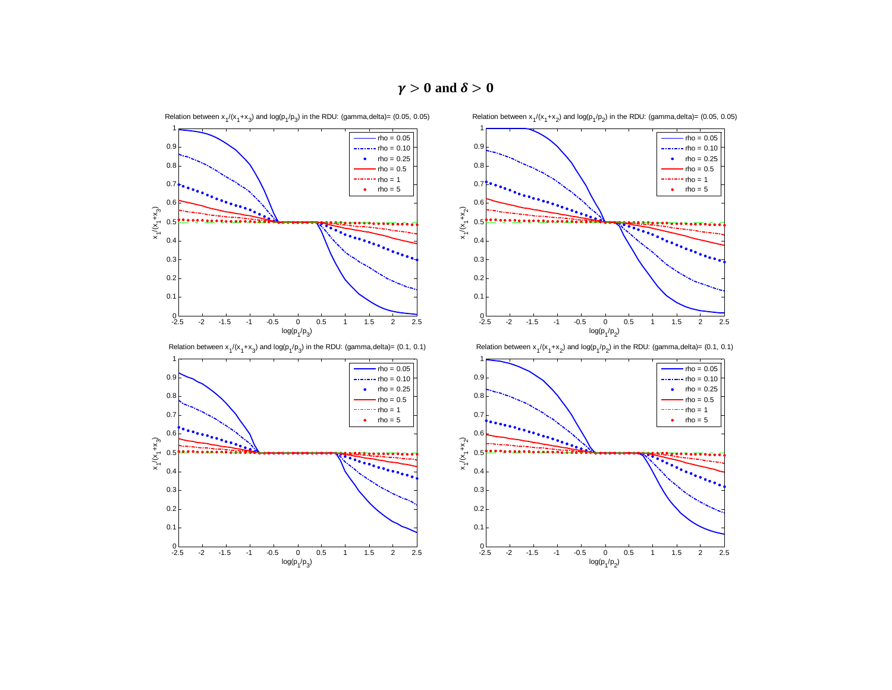

 $^{0}$  –  $^{2.5}$ 

 $_{-2.5}^{0}$ 

0.1 0.2 0.3 0.4 0.5 0.6 0.7 0.8 0.91

 $x^{1}(x^{1}+x^{3})$ 

0.10.2 0.3 0.4 0.5 0.6 0.7 0.80.9 1

 $x^{1}(x^{1}+x^{3})$ 

 $\gamma > 0$  and  $\delta > 0$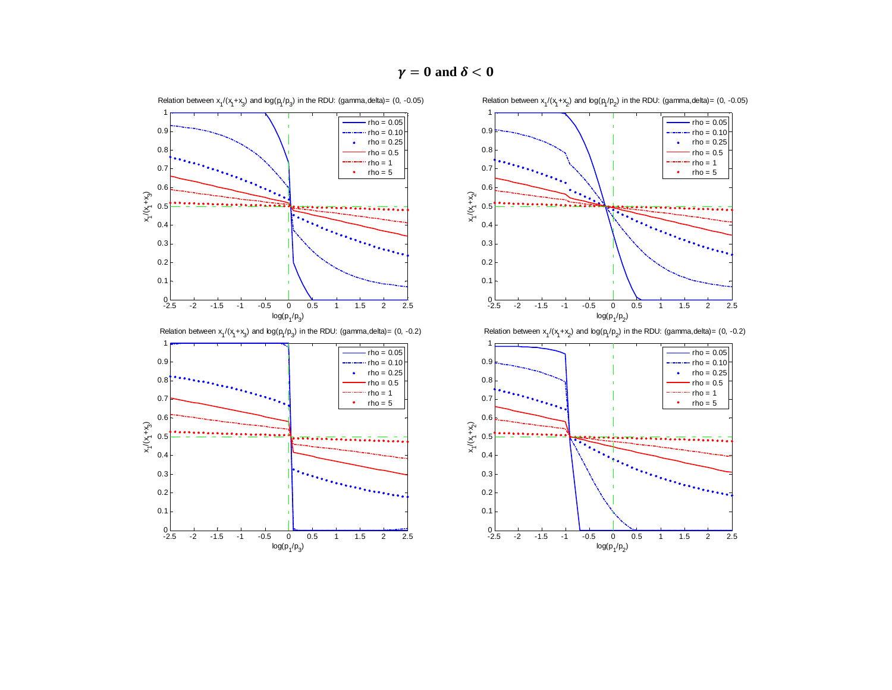

Relation between  $x_1/(x_1+x_3)$  and  $\log(p_1/p_3)$  in the RDU: (gamma, delta) = (0, -0.05)

 $^{0}$  – 5

 $_{-2.5}^{0}$ 

0.10.2 0.3 0.4 0.5 0.60.7 0.80.91

 $x^{1}(x^{1}+x^{3})$ 

0.1 0.20.30.4 0.5 0.6 0.70.8 0.91

 $x^{1/2}$ ر<br>+<br>X+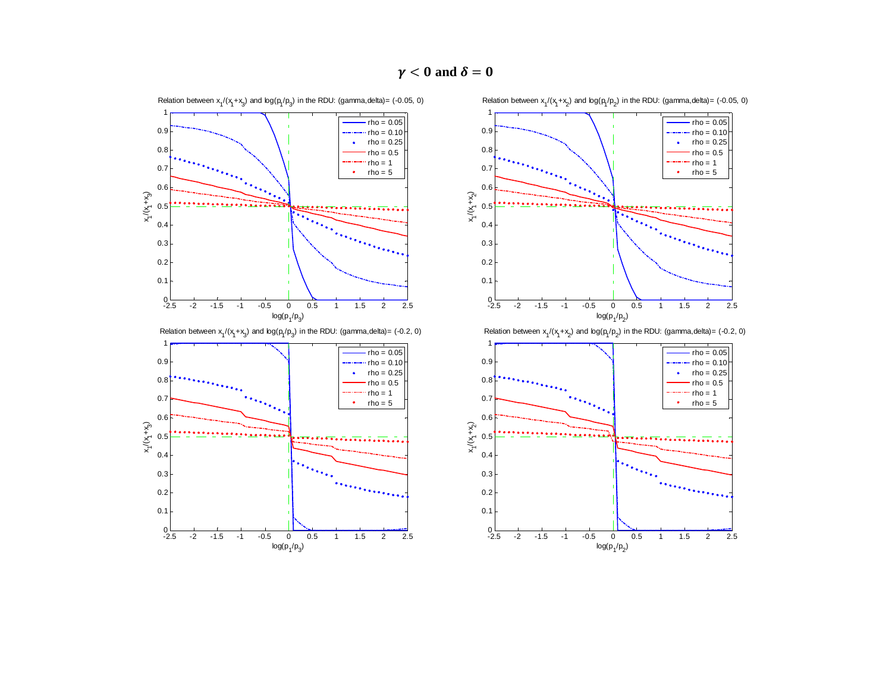

 $\gamma < 0$  and  $\delta = 0$ 

rho = 0.05 rho = 0.10  $rho = 0.25$  $rho = 0.5$ 

 $log(p_1/p_2)$ Relation between  $x_1/(x_1+x_2)$  and  $\log(p_1/p_2)$  in the RDU: (gamma, delta) = (-0.2, 0)

-2 -1.5 -1 -0.5 0 0.5 1 1.5 2 2.5





Relation between  $x_1/(x_1+x_3)$  and  $\log(p_1/p_3)$  in the RDU: (gamma, delta) = (-0.05, 0)

0.8 0.91